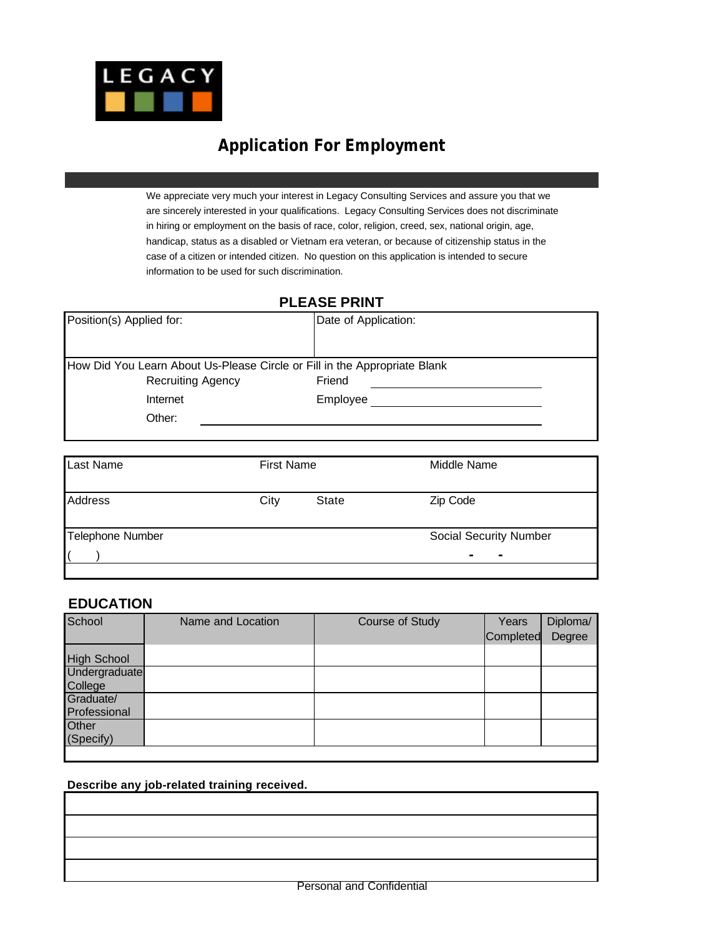

# **Application For Employment**

We appreciate very much your interest in Legacy Consulting Services and assure you that we are sincerely interested in your qualifications. Legacy Consulting Services does not discriminate in hiring or employment on the basis of race, color, religion, creed, sex, national origin, age, handicap, status as a disabled or Vietnam era veteran, or because of citizenship status in the case of a citizen or intended citizen. No question on this application is intended to secure information to be used for such discrimination.

#### **PLEASE PRINT**

| Position(s) Applied for:                                                  | Date of Application: |
|---------------------------------------------------------------------------|----------------------|
|                                                                           |                      |
| How Did You Learn About Us-Please Circle or Fill in the Appropriate Blank |                      |
| <b>Recruiting Agency</b>                                                  | Friend               |
| Internet                                                                  | Employee             |
| Other:                                                                    |                      |
|                                                                           |                      |

| <b>Last Name</b>        | <b>First Name</b> |              | Middle Name                  |
|-------------------------|-------------------|--------------|------------------------------|
| Address                 | City              | <b>State</b> | Zip Code                     |
| <b>Telephone Number</b> |                   |              | Social Security Number       |
|                         |                   |              | $\qquad \qquad \blacksquare$ |

#### **EDUCATION**

| School             | Name and Location | Course of Study | Years     | Diploma/ |
|--------------------|-------------------|-----------------|-----------|----------|
|                    |                   |                 | Completed | Degree   |
| <b>High School</b> |                   |                 |           |          |
| Undergraduate      |                   |                 |           |          |
| College            |                   |                 |           |          |
| Graduate/          |                   |                 |           |          |
| Professional       |                   |                 |           |          |
| Other              |                   |                 |           |          |
| (Specify)          |                   |                 |           |          |
|                    |                   |                 |           |          |

#### **Describe any job-related training received.**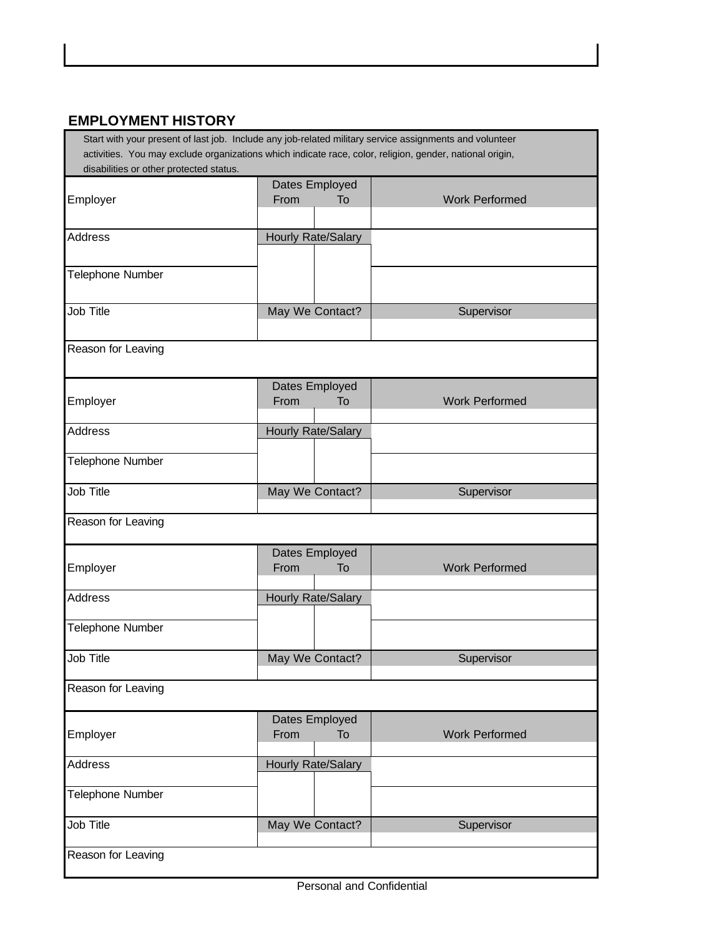### **EMPLOYMENT HISTORY**

 Start with your present of last job. Include any job-related military service assignments and volunteer activities. You may exclude organizations which indicate race, color, religion, gender, national origin, disabilities or other protected status.

|                    | Dates Employed     |    |                       |
|--------------------|--------------------|----|-----------------------|
| Employer           | From               | To | <b>Work Performed</b> |
|                    |                    |    |                       |
| <b>Address</b>     | Hourly Rate/Salary |    |                       |
|                    |                    |    |                       |
| Telephone Number   |                    |    |                       |
|                    |                    |    |                       |
| Job Title          | May We Contact?    |    | Supervisor            |
|                    |                    |    |                       |
| Reason for Leaving |                    |    |                       |
|                    |                    |    |                       |
|                    | Dates Employed     |    |                       |
| Employer           | From               | To | <b>Work Performed</b> |
| <b>Address</b>     | Hourly Rate/Salary |    |                       |
|                    |                    |    |                       |
| Telephone Number   |                    |    |                       |
|                    |                    |    |                       |
| Job Title          | May We Contact?    |    | Supervisor            |
| Reason for Leaving |                    |    |                       |
|                    |                    |    |                       |
|                    | Dates Employed     |    |                       |
| Employer           | From               | To | <b>Work Performed</b> |
| <b>Address</b>     | Hourly Rate/Salary |    |                       |
|                    |                    |    |                       |
| Telephone Number   |                    |    |                       |
|                    |                    |    |                       |
| Job Title          | May We Contact?    |    | Supervisor            |
| Reason for Leaving |                    |    |                       |
|                    |                    |    |                       |
|                    | Dates Employed     |    |                       |
| Employer           | From               | To | <b>Work Performed</b> |
| <b>Address</b>     | Hourly Rate/Salary |    |                       |
|                    |                    |    |                       |
| Telephone Number   |                    |    |                       |
| Job Title          |                    |    |                       |
|                    | May We Contact?    |    | Supervisor            |
| Reason for Leaving |                    |    |                       |
|                    |                    |    |                       |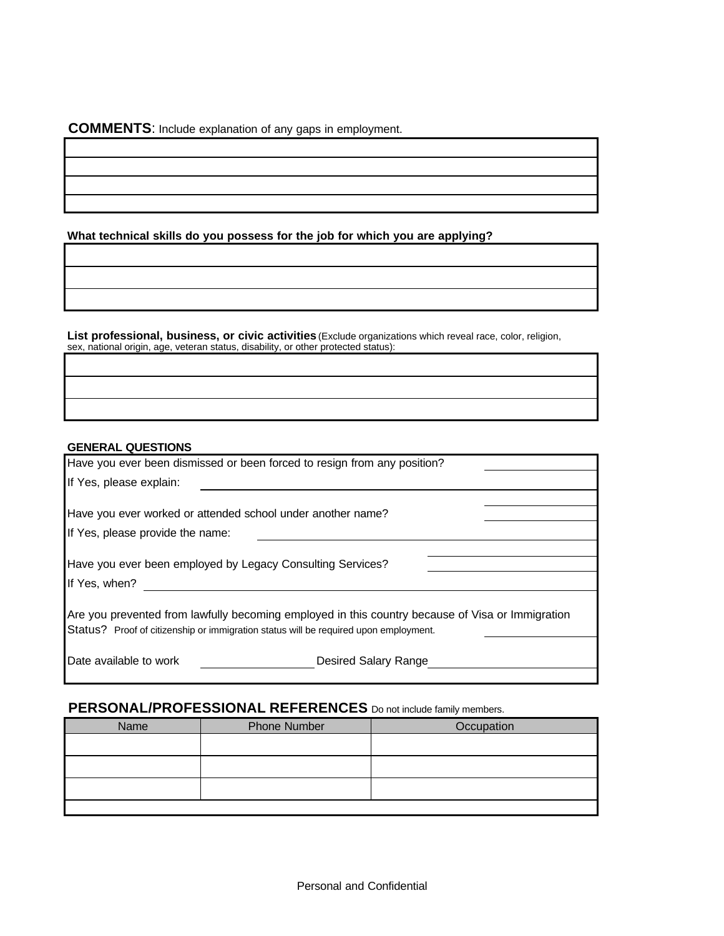**COMMENTS**: Include explanation of any gaps in employment.

**What technical skills do you possess for the job for which you are applying?**

**List professional, business, or civic activities** (Exclude organizations which reveal race, color, religion, sex, national origin, age, veteran status, disability, or other protected status):

#### **GENERAL QUESTIONS**

| Have you ever been dismissed or been forced to resign from any position?                                                                                                                 |  |  |
|------------------------------------------------------------------------------------------------------------------------------------------------------------------------------------------|--|--|
| If Yes, please explain:                                                                                                                                                                  |  |  |
|                                                                                                                                                                                          |  |  |
| Have you ever worked or attended school under another name?                                                                                                                              |  |  |
| If Yes, please provide the name:                                                                                                                                                         |  |  |
|                                                                                                                                                                                          |  |  |
| Have you ever been employed by Legacy Consulting Services?                                                                                                                               |  |  |
| If Yes, when?                                                                                                                                                                            |  |  |
| Are you prevented from lawfully becoming employed in this country because of Visa or Immigration<br>Status? Proof of citizenship or immigration status will be required upon employment. |  |  |
| Date available to work<br>Desired Salary Range                                                                                                                                           |  |  |

## **PERSONAL/PROFESSIONAL REFERENCES** Do not include family members.

| Name | <b>Phone Number</b> | Occupation |
|------|---------------------|------------|
|      |                     |            |
|      |                     |            |
|      |                     |            |
|      |                     |            |